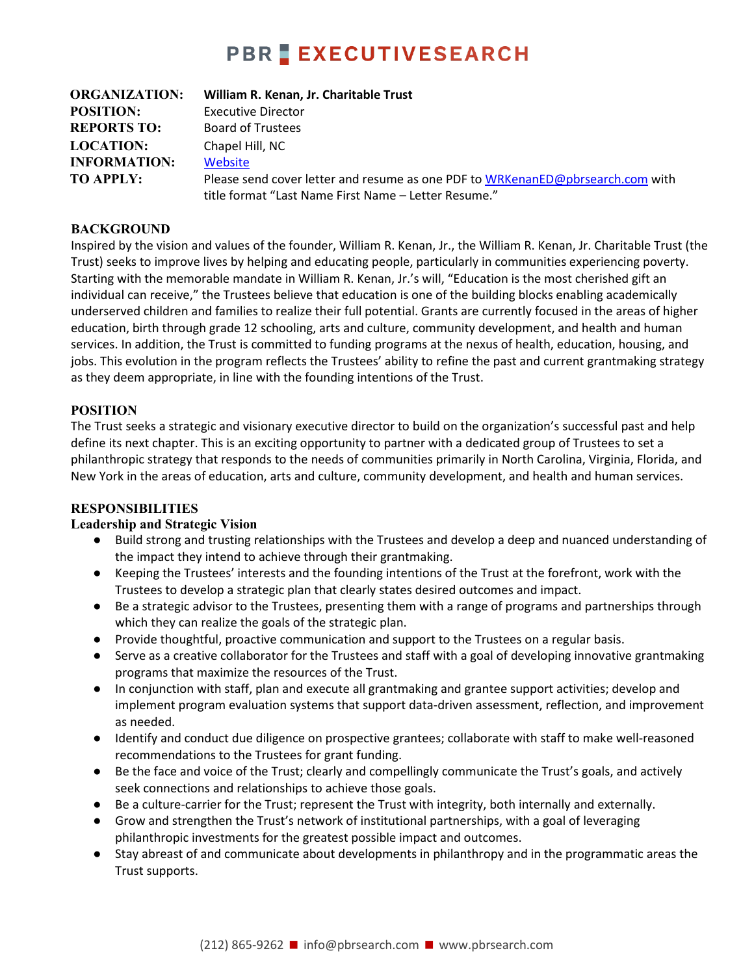# **PBR EXECUTIVESEARCH**

| <b>ORGANIZATION:</b> | William R. Kenan, Jr. Charitable Trust                                         |
|----------------------|--------------------------------------------------------------------------------|
| <b>POSITION:</b>     | <b>Executive Director</b>                                                      |
| <b>REPORTS TO:</b>   | <b>Board of Trustees</b>                                                       |
| <b>LOCATION:</b>     | Chapel Hill, NC                                                                |
| <b>INFORMATION:</b>  | Website                                                                        |
| <b>TO APPLY:</b>     | Please send cover letter and resume as one PDF to WRKenanED@pbrsearch.com with |
|                      | title format "Last Name First Name - Letter Resume."                           |

#### **BACKGROUND**

Inspired by the vision and values of the founder, William R. Kenan, Jr., the William R. Kenan, Jr. Charitable Trust (the Trust) seeks to improve lives by helping and educating people, particularly in communities experiencing poverty. Starting with the memorable mandate in William R. Kenan, Jr.'s will, "Education is the most cherished gift an individual can receive," the Trustees believe that education is one of the building blocks enabling academically underserved children and families to realize their full potential. Grants are currently focused in the areas of higher education, birth through grade 12 schooling, arts and culture, community development, and health and human services. In addition, the Trust is committed to funding programs at the nexus of health, education, housing, and jobs. This evolution in the program reflects the Trustees' ability to refine the past and current grantmaking strategy as they deem appropriate, in line with the founding intentions of the Trust.

#### **POSITION**

The Trust seeks a strategic and visionary executive director to build on the organization's successful past and help define its next chapter. This is an exciting opportunity to partner with a dedicated group of Trustees to set a philanthropic strategy that responds to the needs of communities primarily in North Carolina, Virginia, Florida, and New York in the areas of education, arts and culture, community development, and health and human services.

#### **RESPONSIBILITIES**

#### **Leadership and Strategic Vision**

- Build strong and trusting relationships with the Trustees and develop a deep and nuanced understanding of the impact they intend to achieve through their grantmaking.
- Keeping the Trustees' interests and the founding intentions of the Trust at the forefront, work with the Trustees to develop a strategic plan that clearly states desired outcomes and impact.
- Be a strategic advisor to the Trustees, presenting them with a range of programs and partnerships through which they can realize the goals of the strategic plan.
- Provide thoughtful, proactive communication and support to the Trustees on a regular basis.
- Serve as a creative collaborator for the Trustees and staff with a goal of developing innovative grantmaking programs that maximize the resources of the Trust.
- In conjunction with staff, plan and execute all grantmaking and grantee support activities; develop and implement program evaluation systems that support data-driven assessment, reflection, and improvement as needed.
- Identify and conduct due diligence on prospective grantees; collaborate with staff to make well-reasoned recommendations to the Trustees for grant funding.
- Be the face and voice of the Trust; clearly and compellingly communicate the Trust's goals, and actively seek connections and relationships to achieve those goals.
- Be a culture-carrier for the Trust; represent the Trust with integrity, both internally and externally.
- Grow and strengthen the Trust's network of institutional partnerships, with a goal of leveraging philanthropic investments for the greatest possible impact and outcomes.
- Stay abreast of and communicate about developments in philanthropy and in the programmatic areas the Trust supports.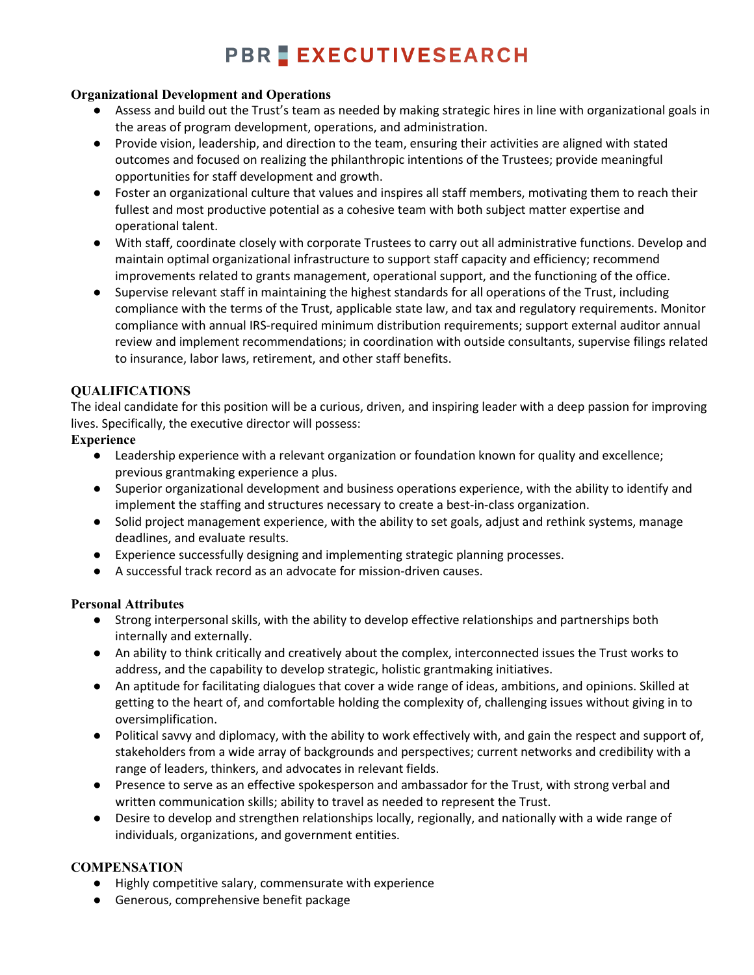# **PBR EXECUTIVESEARCH**

#### **Organizational Development and Operations**

- Assess and build out the Trust's team as needed by making strategic hires in line with organizational goals in the areas of program development, operations, and administration.
- Provide vision, leadership, and direction to the team, ensuring their activities are aligned with stated outcomes and focused on realizing the philanthropic intentions of the Trustees; provide meaningful opportunities for staff development and growth.
- Foster an organizational culture that values and inspires all staff members, motivating them to reach their fullest and most productive potential as a cohesive team with both subject matter expertise and operational talent.
- With staff, coordinate closely with corporate Trustees to carry out all administrative functions. Develop and maintain optimal organizational infrastructure to support staff capacity and efficiency; recommend improvements related to grants management, operational support, and the functioning of the office.
- Supervise relevant staff in maintaining the highest standards for all operations of the Trust, including compliance with the terms of the Trust, applicable state law, and tax and regulatory requirements. Monitor compliance with annual IRS-required minimum distribution requirements; support external auditor annual review and implement recommendations; in coordination with outside consultants, supervise filings related to insurance, labor laws, retirement, and other staff benefits.

## **QUALIFICATIONS**

The ideal candidate for this position will be a curious, driven, and inspiring leader with a deep passion for improving lives. Specifically, the executive director will possess:

#### **Experience**

- Leadership experience with a relevant organization or foundation known for quality and excellence; previous grantmaking experience a plus.
- Superior organizational development and business operations experience, with the ability to identify and implement the staffing and structures necessary to create a best-in-class organization.
- Solid project management experience, with the ability to set goals, adjust and rethink systems, manage deadlines, and evaluate results.
- Experience successfully designing and implementing strategic planning processes.
- A successful track record as an advocate for mission-driven causes.

## **Personal Attributes**

- Strong interpersonal skills, with the ability to develop effective relationships and partnerships both internally and externally.
- An ability to think critically and creatively about the complex, interconnected issues the Trust works to address, and the capability to develop strategic, holistic grantmaking initiatives.
- An aptitude for facilitating dialogues that cover a wide range of ideas, ambitions, and opinions. Skilled at getting to the heart of, and comfortable holding the complexity of, challenging issues without giving in to oversimplification.
- Political savvy and diplomacy, with the ability to work effectively with, and gain the respect and support of, stakeholders from a wide array of backgrounds and perspectives; current networks and credibility with a range of leaders, thinkers, and advocates in relevant fields.
- Presence to serve as an effective spokesperson and ambassador for the Trust, with strong verbal and written communication skills; ability to travel as needed to represent the Trust.
- Desire to develop and strengthen relationships locally, regionally, and nationally with a wide range of individuals, organizations, and government entities.

## **COMPENSATION**

- Highly competitive salary, commensurate with experience
- Generous, comprehensive benefit package